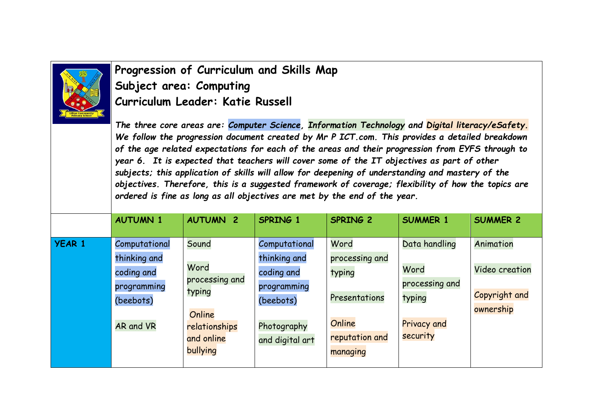

## **Progression of Curriculum and Skills Map Subject area: Computing Curriculum Leader: Katie Russell**

*The three core areas are: Computer Science, Information Technology and Digital literacy/eSafety. We follow the progression document created by Mr P ICT.com. This provides a detailed breakdown of the age related expectations for each of the areas and their progression from EYFS through to year 6. It is expected that teachers will cover some of the IT objectives as part of other subjects; this application of skills will allow for deepening of understanding and mastery of the objectives. Therefore, this is a suggested framework of coverage; flexibility of how the topics are ordered is fine as long as all objectives are met by the end of the year.*

|               | <b>AUTUMN 1</b>                                                                      | <b>AUTUMN 2</b>                                                                                | SPRING 1                                                                                                  | SPRING 2                                                                                  | <b>SUMMER 1</b>                                                              | <b>SUMMER 2</b>                                                  |
|---------------|--------------------------------------------------------------------------------------|------------------------------------------------------------------------------------------------|-----------------------------------------------------------------------------------------------------------|-------------------------------------------------------------------------------------------|------------------------------------------------------------------------------|------------------------------------------------------------------|
| <b>YEAR 1</b> | Computational<br>thinking and<br>coding and<br>programming<br>(beebots)<br>AR and VR | Sound<br>Word<br>processing and<br>typing<br>Online<br>relationships<br>and online<br>bullying | Computational<br>thinking and<br>coding and<br>programming<br>(beebots)<br>Photography<br>and digital art | Word<br>processing and<br>typing<br>Presentations<br>Online<br>reputation and<br>managing | Data handling<br>Word<br>processing and<br>typing<br>Privacy and<br>security | Animation<br><b>Video creation</b><br>Copyright and<br>ownership |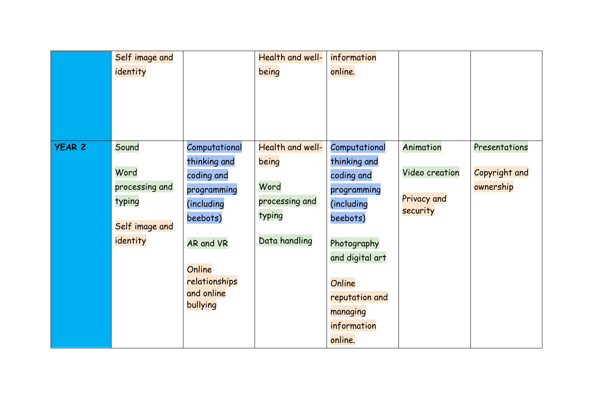|               | Self image and<br>identity                                              |                                                                                                                                                               | <b>Health and well-</b><br>being                                                      | information<br>online.                                                                                                                                                                   |                                                               |                                             |
|---------------|-------------------------------------------------------------------------|---------------------------------------------------------------------------------------------------------------------------------------------------------------|---------------------------------------------------------------------------------------|------------------------------------------------------------------------------------------------------------------------------------------------------------------------------------------|---------------------------------------------------------------|---------------------------------------------|
| <b>YEAR 2</b> | Sound<br>Word<br>processing and<br>typing<br>Self image and<br>identity | Computational<br>thinking and<br>coding and<br>programming<br>(including<br>beebots)<br><b>AR and VR</b><br>Online<br>relationships<br>and online<br>bullying | <b>Health and well-</b><br>being<br>Word<br>processing and<br>typing<br>Data handling | Computational<br>thinking and<br>coding and<br>programming<br>(including<br>beebots)<br>Photography<br>and digital art<br>Online<br>reputation and<br>managing<br>information<br>online. | Animation<br><b>Video creation</b><br>Privacy and<br>security | Presentations<br>Copyright and<br>ownership |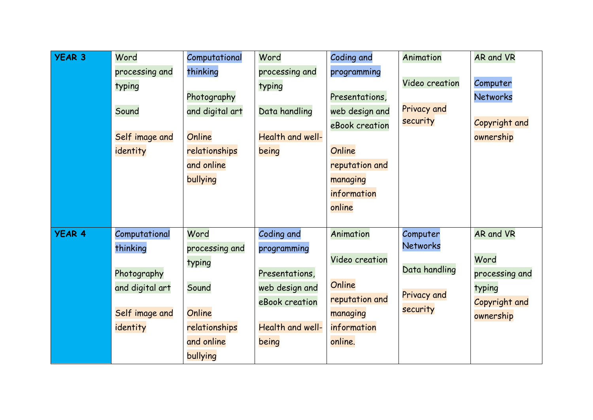| <b>YEAR 3</b> | Word            | Computational   | Word             | Coding and            | Animation             | AR and VR      |
|---------------|-----------------|-----------------|------------------|-----------------------|-----------------------|----------------|
|               | processing and  | thinking        | processing and   | programming           |                       |                |
|               | typing          |                 | typing           |                       | <b>Video creation</b> | Computer       |
|               |                 | Photography     |                  | Presentations,        |                       | Networks       |
|               | Sound           | and digital art | Data handling    | web design and        | Privacy and           |                |
|               |                 |                 |                  | eBook creation        | security              | Copyright and  |
|               | Self image and  | Online          | Health and well- |                       |                       | ownership      |
|               | identity        | relationships   | being            | Online                |                       |                |
|               |                 | and online      |                  | reputation and        |                       |                |
|               |                 | bullying        |                  | managing              |                       |                |
|               |                 |                 |                  | information           |                       |                |
|               |                 |                 |                  | online                |                       |                |
|               |                 |                 |                  |                       |                       |                |
| <b>YEAR 4</b> | Computational   | Word            | Coding and       | Animation             | Computer              | AR and VR      |
|               | thinking        | processing and  | programming      |                       | Networks              |                |
|               |                 | typing          |                  | <b>Video creation</b> |                       | Word           |
|               | Photography     |                 | Presentations,   |                       | Data handling         | processing and |
|               | and digital art | Sound           | web design and   | Online                | Privacy and           | typing         |
|               |                 |                 | eBook creation   | reputation and        |                       | Copyright and  |
|               | Self image and  | Online          |                  | managing              | security              | ownership      |
|               | identity        | relationships   | Health and well- | information           |                       |                |
|               |                 | and online      | being            | online.               |                       |                |
|               |                 | bullying        |                  |                       |                       |                |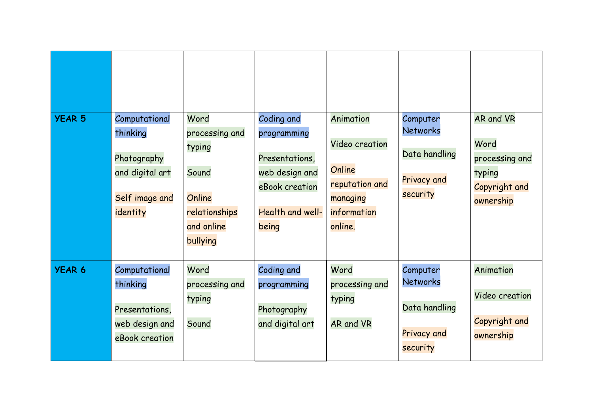| <b>YEAR 5</b> | Computational<br>thinking<br>Photography<br>and digital art<br>Self image and<br>identity | Word<br>processing and<br>typing<br>Sound<br>Online<br>relationships<br>and online<br>bullying | Coding and<br>programming<br>Presentations,<br>web design and<br>eBook creation<br><b>Health and well-</b><br>being | Animation<br><b>Video creation</b><br>Online<br>reputation and<br>managing<br>information<br>online. | Computer<br>Networks<br>Data handling<br>Privacy and<br>security        | AR and VR<br>Word<br>processing and<br>typing<br>Copyright and<br>ownership |
|---------------|-------------------------------------------------------------------------------------------|------------------------------------------------------------------------------------------------|---------------------------------------------------------------------------------------------------------------------|------------------------------------------------------------------------------------------------------|-------------------------------------------------------------------------|-----------------------------------------------------------------------------|
| <b>YEAR 6</b> | Computational<br>thinking<br>Presentations,<br>web design and<br>eBook creation           | Word<br>processing and<br>typing<br>Sound                                                      | Coding and<br>programming<br>Photography<br>and digital art                                                         | Word<br>processing and<br>typing<br>AR and VR                                                        | Computer<br><b>Networks</b><br>Data handling<br>Privacy and<br>security | Animation<br><b>Video creation</b><br>Copyright and<br>ownership            |